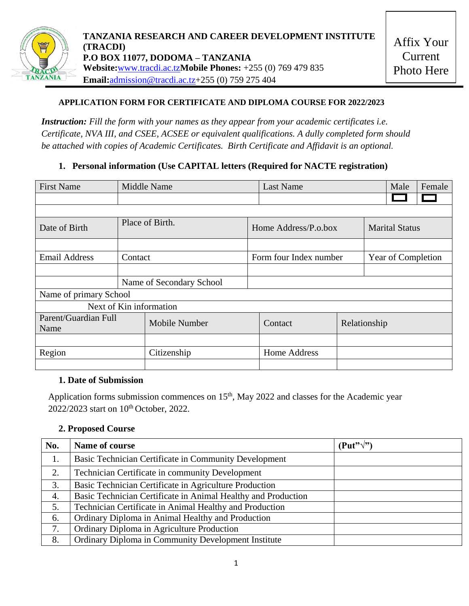

## **APPLICATION FORM FOR CERTIFICATE AND DIPLOMA COURSE FOR 2022/2023**

*Instruction: Fill the form with your names as they appear from your academic certificates i.e. Certificate, NVA III, and CSEE, ACSEE or equivalent qualifications. A dully completed form should be attached with copies of Academic Certificates. Birth Certificate and Affidavit is an optional.*

## **1. Personal information (Use CAPITAL letters (Required for NACTE registration)**

| <b>First Name</b>            | <b>Middle Name</b>       |               |                      | <b>Last Name</b>       |                       | Male               | Female |  |
|------------------------------|--------------------------|---------------|----------------------|------------------------|-----------------------|--------------------|--------|--|
|                              |                          |               |                      |                        |                       |                    |        |  |
|                              |                          |               |                      |                        |                       |                    |        |  |
| Date of Birth                | Place of Birth.          |               | Home Address/P.o.box |                        | <b>Marital Status</b> |                    |        |  |
|                              |                          |               |                      |                        |                       |                    |        |  |
| <b>Email Address</b>         | Contact                  |               |                      | Form four Index number |                       | Year of Completion |        |  |
|                              |                          |               |                      |                        |                       |                    |        |  |
|                              | Name of Secondary School |               |                      |                        |                       |                    |        |  |
| Name of primary School       |                          |               |                      |                        |                       |                    |        |  |
| Next of Kin information      |                          |               |                      |                        |                       |                    |        |  |
| Parent/Guardian Full<br>Name |                          | Mobile Number |                      | Contact                | Relationship          |                    |        |  |
|                              |                          |               |                      |                        |                       |                    |        |  |
| Region                       |                          | Citizenship   |                      | <b>Home Address</b>    |                       |                    |        |  |

## **1. Date of Submission**

Application forms submission commences on 15<sup>th</sup>, May 2022 and classes for the Academic year 2022/2023 start on 10<sup>th</sup> October, 2022.

#### **2. Proposed Course**

| No. | Name of course                                                | $(Put''\sqrt{?})$ |
|-----|---------------------------------------------------------------|-------------------|
| 1.  | Basic Technician Certificate in Community Development         |                   |
| 2.  | <b>Technician Certificate in community Development</b>        |                   |
| 3.  | Basic Technician Certificate in Agriculture Production        |                   |
| 4.  | Basic Technician Certificate in Animal Healthy and Production |                   |
| 5.  | Technician Certificate in Animal Healthy and Production       |                   |
| 6.  | Ordinary Diploma in Animal Healthy and Production             |                   |
| 7.  | Ordinary Diploma in Agriculture Production                    |                   |
| 8.  | Ordinary Diploma in Community Development Institute           |                   |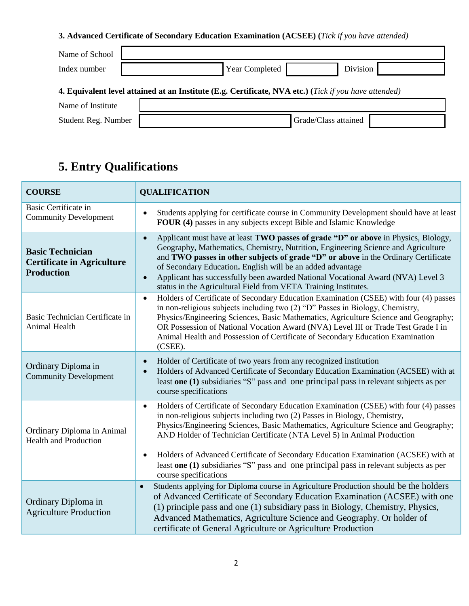## **3. Advanced Certificate of Secondary Education Examination (ACSEE) (***Tick if you have attended)*

| Name of School                                                                                               |  |                                   |  |  |  |  |
|--------------------------------------------------------------------------------------------------------------|--|-----------------------------------|--|--|--|--|
| Index number                                                                                                 |  | <b>Year Completed</b><br>Division |  |  |  |  |
| <b>4. Equivalent level attained at an Institute (E.g. Certificate, NVA etc.) (Tick if you have attended)</b> |  |                                   |  |  |  |  |
| Name of Institute                                                                                            |  |                                   |  |  |  |  |
| Student Reg. Number                                                                                          |  | Grade/Class attained              |  |  |  |  |

# **5. Entry Qualifications**

| <b>COURSE</b>                                                                     | <b>QUALIFICATION</b>                                                                                                                                                                                                                                                                                                                                                                                                                                                                                                                                       |  |  |  |
|-----------------------------------------------------------------------------------|------------------------------------------------------------------------------------------------------------------------------------------------------------------------------------------------------------------------------------------------------------------------------------------------------------------------------------------------------------------------------------------------------------------------------------------------------------------------------------------------------------------------------------------------------------|--|--|--|
| <b>Basic Certificate in</b><br><b>Community Development</b>                       | Students applying for certificate course in Community Development should have at least<br>$\bullet$<br>FOUR (4) passes in any subjects except Bible and Islamic Knowledge                                                                                                                                                                                                                                                                                                                                                                                  |  |  |  |
| <b>Basic Technician</b><br><b>Certificate in Agriculture</b><br><b>Production</b> | Applicant must have at least TWO passes of grade "D" or above in Physics, Biology,<br>$\bullet$<br>Geography, Mathematics, Chemistry, Nutrition, Engineering Science and Agriculture<br>and TWO passes in other subjects of grade "D" or above in the Ordinary Certificate<br>of Secondary Education. English will be an added advantage<br>Applicant has successfully been awarded National Vocational Award (NVA) Level 3<br>$\bullet$<br>status in the Agricultural Field from VETA Training Institutes.                                                |  |  |  |
| Basic Technician Certificate in<br>Animal Health                                  | Holders of Certificate of Secondary Education Examination (CSEE) with four (4) passes<br>$\bullet$<br>in non-religious subjects including two (2) "D" Passes in Biology, Chemistry,<br>Physics/Engineering Sciences, Basic Mathematics, Agriculture Science and Geography;<br>OR Possession of National Vocation Award (NVA) Level III or Trade Test Grade I in<br>Animal Health and Possession of Certificate of Secondary Education Examination<br>(CSEE).                                                                                               |  |  |  |
| Ordinary Diploma in<br><b>Community Development</b>                               | Holder of Certificate of two years from any recognized institution<br>$\bullet$<br>Holders of Advanced Certificate of Secondary Education Examination (ACSEE) with at<br>least one (1) subsidiaries "S" pass and one principal pass in relevant subjects as per<br>course specifications                                                                                                                                                                                                                                                                   |  |  |  |
| Ordinary Diploma in Animal<br><b>Health and Production</b>                        | Holders of Certificate of Secondary Education Examination (CSEE) with four (4) passes<br>$\bullet$<br>in non-religious subjects including two (2) Passes in Biology, Chemistry,<br>Physics/Engineering Sciences, Basic Mathematics, Agriculture Science and Geography;<br>AND Holder of Technician Certificate (NTA Level 5) in Animal Production<br>Holders of Advanced Certificate of Secondary Education Examination (ACSEE) with at<br>least one (1) subsidiaries "S" pass and one principal pass in relevant subjects as per<br>course specifications |  |  |  |
| Ordinary Diploma in<br><b>Agriculture Production</b>                              | Students applying for Diploma course in Agriculture Production should be the holders<br>$\bullet$<br>of Advanced Certificate of Secondary Education Examination (ACSEE) with one<br>(1) principle pass and one (1) subsidiary pass in Biology, Chemistry, Physics,<br>Advanced Mathematics, Agriculture Science and Geography. Or holder of<br>certificate of General Agriculture or Agriculture Production                                                                                                                                                |  |  |  |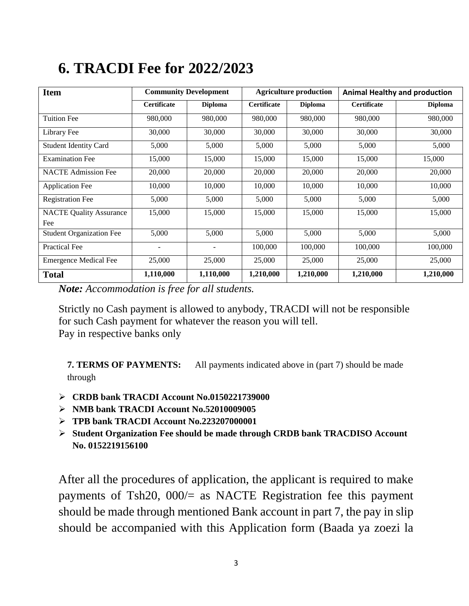## **Item Community Development** Agriculture production **Animal Healthy and production Certificate Diploma Certificate Diploma Certificate Diploma** Tuition Fee 980,000 | 980,000 980,000 980,000 980,000 980,000 Library Fee 30,000 30,000 30,000 30,000 30,000 30,000 Student Identity Card  $\begin{array}{|c|c|c|c|c|c|c|c|c|} \hline 5,000 & 5,000 & 5,000 & 5,000 \hline \end{array}$  5,000 5,000 Examination Fee 15,000 15,000 15,000 15,000 15,000 15,000 15,000 NACTE Admission Fee  $\begin{array}{|l}\n 20,000 \\
20,000\n \end{array}$  20,000 20,000 20,000 20,000 20,000

**6. TRACDI Fee for 2022/2023**

*Note: Accommodation is free for all students.*

NACTE Quality Assurance

Fee

Strictly no Cash payment is allowed to anybody, TRACDI will not be responsible for such Cash payment for whatever the reason you will tell. Pay in respective banks only

Application Fee 10,000 10,000 10,000 10,000 10,000 10,000 10,000 Registration Fee 5,000 5,000 5,000 5,000 5,000 5,000

Student Organization Fee  $\begin{array}{|c|c|c|c|c|c|} \hline 5,000 & 5,000 & 5,000 & 5,000 \hline \end{array}$ Practical Fee 100,000 100,000 100,000 100,000 100,000 100,000 100,000 100,000 100,000 100,000 100,000 100,000 1 Emergence Medical Fee 25,000 25,000 25,000 25,000 25,000 25,000 25,000 **Total 1,110,000 1,110,000 1,210,000 1,210,000 1,210,000 1,210,000**

15,000 | 15,000 | 15,000 | 15,000 | 15,000

**7. TERMS OF PAYMENTS:** All payments indicated above in (part 7) should be made through

- **CRDB bank TRACDI Account No.0150221739000**
- **NMB bank TRACDI Account No.52010009005**
- **TPB bank TRACDI Account No.223207000001**
- **Student Organization Fee should be made through CRDB bank TRACDISO Account No. 0152219156100**

After all the procedures of application, the applicant is required to make payments of Tsh20, 000/= as NACTE Registration fee this payment should be made through mentioned Bank account in part 7, the pay in slip should be accompanied with this Application form (Baada ya zoezi la